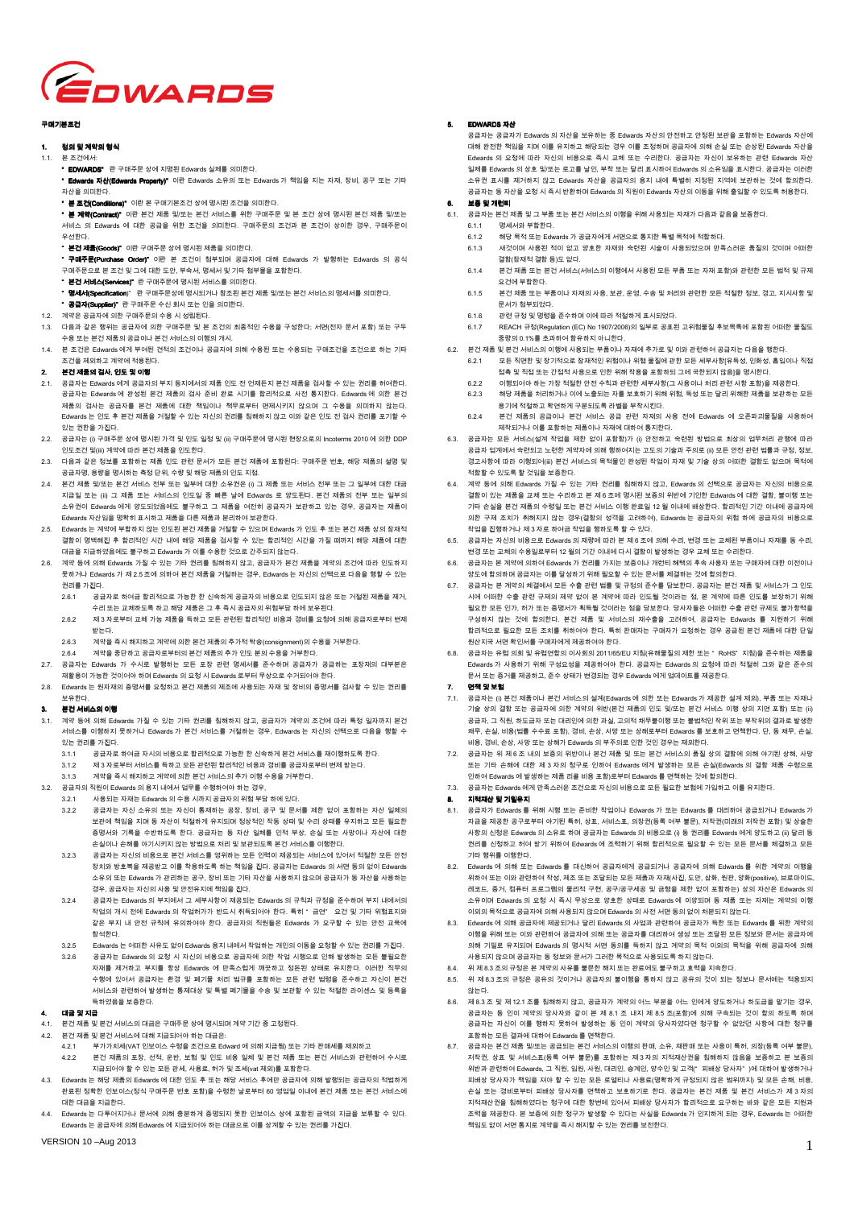

### 그래기부 지거

### 1. **젖의 및 계약의 형식**

- 1.1. 본 조건에서
	- " FDWARDS" 란 구매주문 상에 지명된 Edwards 실체를 의미한다.
	- " Edwards 자산(Edwards Property)" 이란 Edwards 소유의 또는 Edwards 가 책임을 지는 자재, 장비, 공구 또는 기타 녅ꩥ냹 넍ꖭ뼑鲙.
	- " 본 조거(Conditions)" 이란 본 구매기본조건 상에 명시된 조건을 의미한다.
	- " ꚭ 陹꼲(Contract (ContractContract Contract)" 넩ꄵ ꚭ阩 뇑븽 ꗄ/鿅鱉 ꚭ阩 ꟹ걙ꌱ 낹뼑 霡ꎙ늱ꓭ ꗄ ꚭ 눥阩 ꩶ꾅 ꐺ겑鷑 ꚭ阩 뇑븽 ꗄ/鿅鱉 .<br>서비스 의 Edwards 에 대한 공급을 위한 조건을 의미한다. 구매주문의 조건과 본 조건이 상이한 경우, 구매주문이 끥뼑鲙.
	- 부견 제품(Goods)" 이란 구매주문 상에 명시된 제품을 의미한다.
	- " "그(".<br>" 구매주문(Purchase Order)" 이란 본 조건이 첨부되며 공급자에 대해 Edwards 가 발행하는 Edwards 의 공식 .<br>구매주문으로 본 조건 및 그에 대한 도안, 부속서, 명세서 및 기타 첨부물을 포함한다.
	- \* 본건 서비스(Services)" 란 구매주문에 명시된 서비스를 의미한다.
	- " 명세서(Specification)" 란 구매주문상에 명시되거나 참조된 본건 제품 및/또는 본건 서비스의 명세서를 의미한다.
- " 공급자(Supplier)" 란 구매주문 수신 회사 또는 인을 의미한다.
- 1.2. 계약은 공급자에 의한 구매주문의 수용 시 성립된다.
- 1. 1. 트 오 프 구 4. 니스 포 포 프 그 그 등 그 트 표<br>- 다음과 같은 행위는 공급자에 의한 구매주문 및 본 조건의 최종적인 수용을 구성한다; 서면(전자 문서 포함) 또는 구두 <u>수용 또는 본건 제품의 공급이나 본건 서비스의 이행의 개시.</u>
- 1.4. 본 조건은 Edwards 에게 부여된 견적의 조건이나 공급자에 의해 수용된 또는 수용되는 구매조건을 조건으로 하는 기타 조건을 제외하고 계약에 적용된다.

## 2. 본건 제품의 검사, 인도 및 이행

- 2.1. 아는 그리고 그리고 그리고<br>2.1. 공급자는 Edwards 에게 공급자의 부지 등지에서의 제품 인도 전 언제든지 본건 제품을 검사할 수 있는 권리를 허여한다. 공급자는 Edwards 에 완성된 본건 제품의 검사 준비 완료 시기를 합리적으로 사전 통지한다. Edwards 에 의한 본건 제품의 검사는 공급자를 본건 제품에 대한 책임이나 책무로부터 면제시키지 않으며 그 수용을 의미하지 않는다. Edwards 는 인도 후 본건 제품을 거절할 수 있는 자신의 권리를 침해하지 않고 이와 같은 인도 전 검사 권리를 포기할 수 있는 권한을 가진다.
- 2.2. 공급자는 (i) 구매주문 상에 명시된 가격 및 인도 일정 및 (ii) 구매주문에 명시된 현장으로의 Incoterms 2010 에 의한 DDP 넭鵹눥阩 ꗄ(iii) 陹꼲꾅 黥ꄱ ꚭ阩 뇑븽냹 넭鵹뼑鲙.
- 2.3. 다음과 같은 정보를 포함하는 제품 인도 관련 문서가 모든 본건 제품에 포함된다: 구매주문 번호, 해당 제품의 섭명 및 공급자명, 용량을 명시하는 측정 단위, 수량 및 해당 제품의 인도 지점.
- 2.4. 본건 제품 및/또는 본건 서비스 전부 또는 일부에 대한 소유권은 (i) 그 제품 또는 서비스 전부 또는 그 일부에 대한 대금 ਦਦ ਪੜ <del>2000</del> ਦਾ ਪਾਪਸਾ ਦਾ ਪਦ ਦਾ ਪਾਪਸਾ ਦਾ ਪਦ (y) ਦਾ ਪੜ ਦਦ ਪਾਪਸਾ ਦਾ ਪਾਪਸਾ ਦਾ ਪਾਪਸਾ ਪਾਪਸਾ<br>지급일 또는 (ii) 그 제품 또는 서비스의 인도일 중 빠른 날에 Edwards 로 양도된다. 본건 제품의 전부 또는 일부의 소유권이 Edwards 에게 양도되었음에도 불구하고 그 제품을 여전히 공급자가 보관하고 있는 경우, 공급자는 제품이 Edwards 자산임을 명확히 표시하고 제품을 다른 제품과 분리하여 보관한다.
- 2.5. Edwards 는 계약에 부합하지 않는 인도된 본건 제품을 거절할 수 있으며 Edwards 가 인도 후 또는 본건 제품 상의 잠재적 陥뼝넩 ꐺꗦ뼩덹 쁹 뼞ꍡ놶넭 겑閹 驩꾅 뼩鲮 뇑븽냹 阵ꩡ뼕 ꯍ 넽鱉 뼞ꍡ놶넭 겑閹냹 閵덽 鼁頁덵 뼩鲮 뇑븽꾅 鲵뼑 대금을 지급하였음에도 불구하고 Edwards 가 이를 수용한 것으로 간주되지 않는다.
- 계약 등에 의해 Edwards 가질 수 있는 기타 권리를 침해하지 않고, 공급자가 본건 제품을 계약의 조건에 따라 인도하지 못하거나 Edwards 가 제 2.5 조에 이하여 본거 제품을 거점하는 경우, Edwards 는 자신이 선택으로 다음을 행할 수 있는 권리를 가진다.
	- .<br>2.6.1 공급자로 하여금 합리적으로 가능한 한 신속하게 공급자의 비용으로 인도되지 않은 또는 거절된 제품을 제거. 수리 또는 교체하도록 하고 해당 제품은 그 후 즉시 공급자의 위험부담 하에 보유된다
	- .<br>2.6.2 시 3 자로부터 교체 가능 제품을 특하고 모든 관련된 합리적인 비용과 경비를 요청에 의해 공급자로부터 변제 ꗐ鱉鲙.
	- .<br>2.6.3 계약을 즉시 해지하고 계약에 의한 본건 제품의 추가적 탁송(consignment)의 수용을 거부한다
- .<br>2.6.4 제약을 중단하고 공급자로부터의 본건 제품의 추가 인도 분의 수용을 거부한다.
- 2.7. 공급자는 Edwards 가 수시로 발행하는 모든 포장 관련 명세서를 준수하며 공급자가 공급하는 포장재의 대부분은 지확용이 가능한 거이어야 하며 Edwards 이 O처 시 Edwards 큰브림 무사이근 스커티어야 한다.
- 2.8. Fdwards 는 원자재의 증명서를 요청하고 본건 제품의 제조에 사용되는 자재 및 장비의 증명서를 검사할 수 있는 권리를 .<br>보유한다.

## 부건 서비스의 이행

- .<br>계약 등에 의해 Edwards 가질 수 있는 기타 권리를 침해하지 않고, 공급자가 계약의 조건에 따라 특정 일자까지 본건 서비스를 이행하지 못하거나 Edwards 가 본건 서비스를 거절하는 경우, Edwards 는 자신의 선택으로 다음을 행할 수 있는 권리를 가진다.
	- 3.1.1 공급자로 하여금 자시의 비용으로 합리적으로 가능한 한 신속하게 본건 서비스를 재이행하도록 한다.
	- 3.1.2 뇑 3 녅ꈑꜵ뫥 ꟹ걙ꌱ 麒뼍隕 ꑝ麕 隵ꇝ鷑 뼞ꍡ놶넭 ꟹ끞隱 陲ꟹꌱ 險鞾녅ꈑꜵ뫥 ꙵ뇑 ꗐ鱉鲙.
- 계약을 즉시 해지하고 계약에 의한 본건 서비스의 추가 이행 수용을 거부한다.
- $3.2.$  공급자의 직원이 Edwards 의 용지 내에서 업무를 수행하여야 하는 경우,
	- $3.2.1$   $\mu$   $B$ 되는 자재는 Edwards 의 수용 시까지 공급자의 위험 부담 하에 있다.
	- 3.2.2 險鞾녅鱉 녅겕 ꭁ냕넍 鿅鱉 녅겕넩 뭪뇑뼍鱉 險녚, 녚ꟹ, 險霡 ꗄ ꓭꌱ 뇑뼑 꽻넩 붡뼝뼍鱉 녅ꩥ 넱뙩넍 보관에 책임을 지며 동 자산이 적절하게 유지되며 정상적인 작동 상태 및 수리 상태를 유지하고 모든 필요한 증명서와 기록을 수반하도록 한다. 공급자는 동 자산 일체를 인적 부상, 손실 또는 사망이나 자산에 대한 손실이나 손해를 야기시키지 않는 방법으로 처리 및 보관되도록 본건 서비스를 이행한다.
	- 3.2.3 공급자는 자신의 비용으로 본건 서비스를 영위하는 모든 인력이 제공되는 서비스에 있어서 적절한 모든 안전 녚렍꿵 ꗞ뿭ꚪ냹 뇑險ꗐ隕 넩ꌱ 뗞끞뼍鵹ꈒ 뼍鱉 뗺넹냹 덹鲙. 險鞾녅鱉 Edwards 넍 ꐩ 鶎넍 꽻넩 Edwards 소유의 또는 Edwards 가 관리하는 공구, 장비 또는 기타 자산을 사용하지 않으며 공급자가 동 자산을 사용하는 경우, 공급자는 자신의 사용 및 안전유지에 책임을 진다.
	- 3.2.4 공급자는 Edwards 의 부지에서 그 세부사항이 제공되는 Edwards 의 규칙과 규정을 준수하며 부지 내에서의 작업의 개시 전에 Fdwards 의 작업허가가 반드시 취득되어야 한다. 특히 " 금연" 요건 및 기타 위험표지와 같은 부지 내 안전 규칙에 유의하여야 한다. 공급자의 직원들은 Edwards 가 요구할 수 있는 안전 교육에 .<br>참석한다.
	- 3.2.5 Edwards 는 어떠한 사유도 없이 Edwards 용지 내에서 작업하는 개인의 이동을 요청할 수 있는 권리를 가진다.
	- 3.2.6  $\mp$ 근자는 Edwards 이 O첫 시 자시이 비용으로 곳그자에 이하 잔어 시해오로 이해 반생차는 모든 불핀으하 , 그녀, 그래서 - 그냥 - - 그냥 - - 그냥 - 그냥 그냥 그냥 그냥 그냥 그냥 그냥 그냥 그냥 그만 그만 그만 만 그만 만 그만<br>자재를 제거하고 부지를 항상 Edwards 에 만족스럽게 깨끗하고 정돈된 상태로 유지한다. 이러한 직무의 ꯍ뼾꾅 넽꽩 險鞾녅鱉 쀍陲 ꗄ 붅韥ꓱ 뙍ꍡ Ꙋ鞑ꌱ 붡뼝뼍鱉 ꑝ麕 隵ꇝ Ꙋꇮ냹 늵ꯍ뼍隕 녅겕넩 ꚭ阩 서비스와 관련하여 발생하는 통제대상 및 특별 폐기물을 수송 및 보관할 수 있는 적절한 라이센스 및 등록을 특하였음을 보증한다.

#### 4. 대극 및 지금

- 4.1. 본건 제품 및 본건 서비스의 대금은 구매주문 상에 명시되며 계약 기간 중 고정된다.
- 본건 제품 및 본건 서비스에 대해 지급되어야 하는 대금은:
	- 4.2.1 부가가치세(VAT 인보이스 수령을 조건으로 Edward 에 의해 지급됨) 또는 기타 판매세를 제외하고
	- 4.2.2 본건 제품의 포장, 선적, 운반, 보험 및 인도 비용 일체 및 본건 제품 또는 본건 서비스와 관련하여 수시로 지급되어야 할 수 있는 모든 관세, 사용료, 허가 및 조세(vat 제외)를 포함한다.
- 4.3. Edwards 는 해당 제품의 Edwards 에 대한 인도 후 또는 해당 서비스 후에만 공급자에 의해 발행되는 공급자의 적법하게 완료된 정확한 인보이스(정식 구매주문 번호 포함)을 수령한 날로부터 60 영업일 이내에 본건 제품 또는 본건 서비스에 대한 대금을 지급한다.
- 4.4. Edwards 는 다툼어지거나 무서에 이해 충분하게 주면디지 무하 이보이人 상에 표하되 글앤이 지그은 보름한 스 이다 Edwards 는 공급자에 의해 Edwards 에 지급되어야 하는 대금으로 이를 상계할 수 있는 권리를 가진다.

## ENWARD THAT

공급자는 공급자가 Edwards 의 자산을 보유하는 중 Edwards 자산의 안전하고 안정된 보관을 포함하는 Edwards 자산에 대해 완전한 책임을 지며 이를 유지하고 해당되는 경우 이를 조정하며 공급자에 의해 손실 또는 손상된 Fdwards 자산을 그 그리고 그리고 그리고 그리고 있으므로 이 그는 그리고 아니 아니 이런 그리고 나오는 그리고 나이 나오<br>Edwards 의 요청에 따라 자신의 비용으로 즉시 교체 또는 수리한다. 공급자는 자신이 보유하는 관련 Edwards 자산 일체를 Edwards 의 상호 및/또는 로고를 날인, 부착 또는 달리 표시하여 Edwards 의 소유임을 표시한다. 공급자는 이러한 소유권 표시를 제거하지 않고 Edwards 자산을 공급자의 용지 내에 특별히 지정된 지역에 보관하는 것에 합의한다. 공급자는 동 자산을 요청 시 즉시 반환하며 Fdwards 의 직원이 Fdwards 자산의 이동을 위해 출입할 수 있도록 허용한다.

# 6. 보증 및 개러티

- 6.1. 공급자는 본건 제품 및 그 부품 또는 본건 서비스의 이행을 위해 사용되는 자재가 다음과 같음을 보증한다.<br>6.1.1 명세서와 부합한다.
	- 명세서와 부합한다.
	- $6.12$  해당 목적 또는 Edwards 가 공급자에게 서면으로 통지한 특별 목적에 적합하다. 6.1.3 새것이며 사용된 적이 없고 양호한 자재와 숙련된 시술이 사용되었으며 만족스러운 품질의 것이며 어떠한
	- 결함(잠재적 결함 등)도 없다. 6.1.4 본건 제품 또는 본건 서비스(서비스의 이행에서 사용된 모든 부품 또는 자재 포함)와 관련한 모든 법적 및 규제
	- 요건에 부합한다.
	- 6.1.5 본건 제품 또는 부품이나 자재의 사용, 보관, 운영, 수송 및 처리와 관련한 모든 적절한 정보, 경고, 지시사항 및 문서가 첨부되었다.
	- 6.1.6 관련 규정 및 명령을 준수하며 이에 따라 적절하게 표시되었다.
	- $6.1.7$  REACH 규정(Regulation (EC) No 1907/2006)의 일부로 공표된 고위험물질 후보목록에 포함된 어떠한 물질도 종량의 0.1%를 초과하여 함유하지 아니한다.
- 6.2. 보거 제품 및 본거 서비스의 이행에 사용되는 부풀이나 자재에 추가로 및 이야 과련하여 공급자는 다음을 행한다 6.2.1 모든 직면한 및 장기적으로 잠재적인 위험이나 위협 물질에 관한 모든 세부사항 유독성, 인화성, 흡입이나 직접 뇆뚾 ꗄ 덶뇆 鿅鱉 閹뇆놶 ꩡ끞냱ꈑ 넭뼑 낹뼩 녆끞냹 붡뼝뼍鷍 鞭꾅 霢뼑鷍덵 껿넁]냹 ꐺ겑뼑鲙.
	- 6.2.2 이행되어야 하는 가장 적절한 안전 수칙과 관련한 세부사항(그 사용이나 처리 관련 사항 포함)을 제공한다.
	- 6.2.3 해당 제품을 처리하거나 이에 노출되는 자를 보호하기 위해 위험, 독성 또는 달리 위해한 제품을 보관하는 모든
	- 용기에 적절하고 확연하게 구분되도록 라벨을 부착시킨다. 6.2.4 본건 제품의 공급이나 본건 서비스 공급 관련 자재의 사용 전에 Edwards 에 오존파괴물질을 사용하여
	- 제작되거나 이를 포함하는 제품이나 자재에 대하여 통지한다.
- .<br>6.3. 공급자는 모든 서비스(설계 작업을 제한 없이 포함함)가 (i) 안전하고 숙련된 방법으로 최상의 업무처리 관행에 따라 .<br>공급자 업계에서 숙련되고 노련한 계약자에 의해 행하여지는 고도의 기술과 주의로 (ii) 모든 안전 관련 법률과 규정, 정보, 경고사항에 따라 이행되어(iii) 본건 서비스의 목적물인 완성된 작업이 자재 및 기술 상의 어떠한 결함도 없으며 목적에 적합할 수 있도록 할 것임을 보증한다.
- 6.4. 계약 등에 의해 Fdwards 가질 수 있는 기타 권리를 침해하지 않고, Edwards 의 선택으로 공급자는 자신의 비용으로 陥뼝넩 넽鱉 뇑븽냹 霅뙩 鿅鱉 ꯍꍡ뼍隕 ꚭ 뇑 6 눥꾅 ꐺ겑鷑 ꚩ덒넍 낹ꗍ꾅 韥넭뼑 Edwards 꾅 鲵뼑 陥뼝, ꜽ넩뼾 鿅鱉 기타 손실을 본건 제품의 수령일 또는 본건 서비스 이행 완료일 12 월 이내에 배상한다. 합리적인 기간 이내에 공급자에 의한 구제 조치가 취해지지 않는 경우(결함의 성격을 고려하여), Edwards 는 공급자의 위험 하에 공급자의 비용으로 작업을 진행하거나 제 3 자로 하여금 작업을 행하도록 할 수 있다.
- 6.5. 공급자는 자신의 비용으로 Edwards 의 재량에 따라 본 제 6 조에 의해 수리, 변경 또는 교체된 부품이나 자재를 동 수리, 변경 또는 교체의 수용일로부터 12 월의 기간 이내에 다시 결함이 발생하는 경우 교체 또는 수리한다.
- 공급자는 본 계약에 의하여 Edwards 가 권리를 가지는 보증이나 개런티 혜택의 후속 사용자 또는 구매자에 대한 이전이나 -<br>양도에 한의하며 공급자는 이를 닥성하기 위해 필요할 수 있는 문서를 체결하는 것에 한의한다.
- 6.7. 공급자는 본 계약의 체결에서 모든 수출 관련 법률 및 규정의 준수를 담보한다. 공급자는 본건 제품 및 서비스가 그 인도 .<br>시에 어떠한 수출 관련 규제의 제약 없이 본 계약에 따라 인도될 것이라는 점, 본 계약에 따른 인도를 보장하기 위해 필요한 모든 ㄱ님, 여기 수정 아이들 거리, 이 이 그 그 그 아이들 그 아이들 그 아이들 그 그 그 그 아이들 그 아이들<br>필요한 모든 인가, 허가 또는 증명서가 획득될 것이라는 점을 담보한다. 당사자들은 어떠한 수출 관련 규제도 불가항력을 구성하지 않는 것에 합의한다. 본건 제품 및 서비스의 재수출을 고려하여, 공급자는 Edwards 를 지원하기 위해 합리적으로 필요한 모든 조치를 취하여야 한다. 특히 판매자는 구매자가 요청하는 경우 공급된 본건 제품에 대한 단일 원산지국 서면 확인서를 구매자에게 제공하여야 한다.
- 6.8. 공급자는 유럽 의회 및 유럽연합의 이사회의 2011/65/EU 지침(유해물질의 제한 또는 " RoHS" 지침)을 준수하는 제품을 Edwards 가 사용하기 위해 구성요성을 제공하여야 한다. 공급자는 Edwards 의 요청에 따라 적절히 그와 같은 준수의 문서 또는 증거를 제공하고, 준수 상태가 변경되는 경우 Edwards 에게 언데이트를 제공한다.
- 7. **여행 및 보험**
- ... ఆ ▲ ——<br>7.1. 공급자는 (i) 본건 제품이나 본건 서비스의 설계(Edwards 에 의한 또는 Edwards 가 제공한 설계 제외), 부품 또는 자재나 기술 상의 결함 또는 공급자에 의한 계약의 위반(본건 제품의 인도 및/또는 본건 서비스 이행 상의 지연 포함) 또는 (ii) .<br>공급자, 그 직원, 하도급자 또는 대리인에 의한 과실, 고의적 채무불이행 또는 불법적인 작위 또는 부작위의 결과로 발생한 채무, 손실, 비용(법률 수수료 포함), 경비, 손상, 사망 또는 상해로부터 Edwards 를 보호하고 면책한다. 단, 동 채무, 손실, 비용, 경비, 손상, 사망 또는 상해가 Fdwards 의 부주의로 인한 것인 경우는 제외한다.
- 7.2. 공급자는 위 제 6 조 내의 보증의 위반이나 본건 제품 및 또는 본건 서비스의 품질 상의 결함에 의해 야기된 상해, 사망 ㅋㅡ .ㅡ ..<br>또는 기타 손해에 대한 제 3 자의 청구로 인하여 Edwards 에게 발생하는 모든 손실(Edwards 의 결함 제품 수령으로 .<br>인하여 Edwards 에 발생하는 제품 리콜 비용 포함)로부터 Edwards 를 면책하는 것에 합의한다.
- 7.3. 공급자는 Edwards 에게 만족스러운 조건으로 자신의 비용으로 모든 필요한 보험에 가입하고 이를 유지한다.

### 8. 지정재사 및 기민요지

- --<br>8.1. 공급자가 Edwards 를 위해 시행 또는 준비한 작업이나 Edwards 가 또는 Edwards 를 대리하여 공급되거나 Edwards 가 자금을 제공한 공구로부터 야기된 특허, 상표, 서비스표, 의장권(등록 여부 불문), 저작권(미래의 저작권 포함) 및 상술한 사항의 신청은 Edwards 의 소유로 하며 공급자는 Edwards 의 비용으로 (i) 동 권리를 Edwards 에게 양도하고 (ii) 달리 동 권리를 시청하고 허여 받기 위하여 Edwards 에 조령하기 위해 한리전으로 필요할 수 있는 모든 문서를 체결하고 모든 기타 행위를 이행한다.
- Edwards 에 의해 또는 Edwards 를 대신하여 공급자에게 공급되거나 공급자에 의해 Edwards 를 위한 계약의 이행을 위하여 또는 이와 관련하여 작성, 제조 또는 조달되는 모든 제품과 자재(사진, 도안, 삽화, 원판, 양화(positive), 브로마이드, 레코드, 증거, 컴퓨터 프로그램의 물리적 구현, 공구/공구세공 및 금형을 제한 없이 포함하는) 상의 자산은 Edwards 의 소유이며 Edwards 의 요청 시 즉시 무상으로 양호한 상태로 Edwards 에 이양되며 동 제품 또는 자재는 계약의 이행 이외의 목적으로 공급자에 의해 사용되지 않으며 Fdwards 의 사전 서면 동의 없이 처분되지 않는다.
- 8.3. Edwards 에 의해 공급자에 제공되거나 달리 Edwards 의 사업과 관련하여 공급자가 득한 또는 Edwards 를 위한 계약의 넩뼾냹 낹뼩 鿅鱉 넩꿵 隵ꇝ뼍꾡 險鞾녅꾅 넍뼩 鿅鱉 險鞾녅ꌱ 鲵ꍡ뼍꾡 ꪒꫦ 鿅鱉 눥鲡鷑 ꑝ麕 뇊ꚩ꿵 ꓭ鱉 險鞾녅꾅 의해 기밀로 유지되며 Edwards 의 명시적 서면 동의를 득하지 않고 계약의 목적 이외의 목적을 위해 공급자에 의해 <u>샤우딘지 안으며 공급자는 듯 전보야 무서가 그려한 목전으로 사용되도록 하지 않는다.</u>
- 8.4. 위 제 8.3 조의 규정은 본 계약의 사유를 불문한 해지 또는 완료에도 불구하고 효력을 지속한다.
- 8.5. 위 제 8.3 조의 규정은 공유의 것이거나 공급자의 불이행을 통하지 않고 공유의 것이 되는 정보나 문서에는 적용되지 않는다.
- 8.6. 제 8.3 조 및 제 12.1 조를 침해하지 않고, 공급자가 계약의 어느 부분을 어느 인에게 양도하거나 하도급을 맡기는 경우. 공급자는 동 인이 계약의 당사자와 같이 본 제 8.1 조 내지 제 8.5 조(포함)에 의해 구속되는 것이 합의 하도록 하며 공급자는 자신이 이를 행하지 못하여 발생하는 동 인이 계약의 당사자였다면 청구할 수 없었던 사항에 대한 청구를 포함하는 모든 결과에 대하여 Edwards 를 면책한다.
- .<br>공급자는 본건 제품 및/또는 공급되는 본건 서비스의 이행의 판매, 소유, 재판매 또는 사용이 특허, 의장(등록 여부 불문), 저작권, 상표 및 서비스표(등록 여부 불문)를 포함하는 제3자의 지적재산권을 침해하지 않음을 보증하고 본 보증의 .<br>위반관 관련하여 Edwards, 그 진원, 임원, 사원, 대리인, 승계인, 양수인 및 고객(" 피배상 당사자")에 대하여 발생하거나 .<br>피배상 당사자가 책임을 져야 할 수 있는 모든 로열티나 사용료(명확하게 규정되지 않은 범위까지) 및 모든 손해, 비용, ꭅ겙 鿅鱉 陲ꟹꈑꜵ뫥 뻱ꗥꩶ 鲮ꩡ녅ꌱ ꐩ뗺뼍隕 ꚩ뿭뼍韥ꈑ 뼑鲙. 險鞾녅鱉 ꚭ阩 뇑븽 ꗄ ꚭ阩 ꟹ걙閵 뇑 3 녅넍 지적재산권을 침해하였다는 청구에 대한 항변에 있어서 피배상 당사자가 합리적으로 요구하는 바와 같은 모든 지원과 조력을 제공한다. 본 보증에 의한 청구가 발생할 수 있다는 사실을 Fdwards 가 인지하게 되는 경우, Edwards 는 어떠한 책임도 없이 서면 통지로 계약을 즉시 해지할 수 있는 권리를 보전한다.